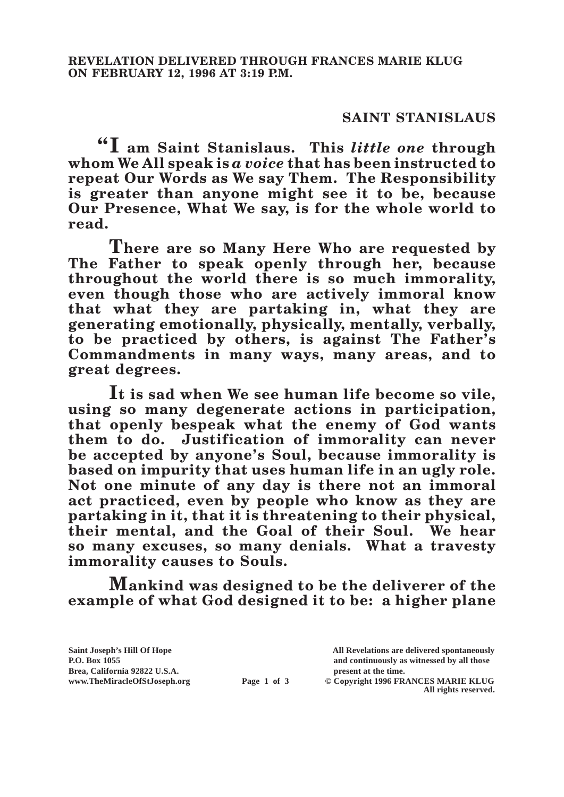## **SAINT STANISLAUS**

**"I am Saint Stanislaus. This** *little one* **through whom We All speak is** *a voice* **that has been instructed to repeat Our Words as We say Them. The Responsibility is greater than anyone might see it to be, because Our Presence, What We say, is for the whole world to read.**

**There are so Many Here Who are requested by The Father to speak openly through her, because throughout the world there is so much immorality, even though those who are actively immoral know that what they are partaking in, what they are generating emotionally, physically, mentally, verbally, to be practiced by others, is against The Father's Commandments in many ways, many areas, and to great degrees.**

**It is sad when We see human life become so vile, using so many degenerate actions in participation, that openly bespeak what the enemy of God wants them to do. Justification of immorality can never be accepted by anyone's Soul, because immorality is based on impurity that uses human life in an ugly role. Not one minute of any day is there not an immoral act practiced, even by people who know as they are partaking in it, that it is threatening to their physical, their mental, and the Goal of their Soul. We hear so many excuses, so many denials. What a travesty immorality causes to Souls.**

**Mankind was designed to be the deliverer of the example of what God designed it to be: a higher plane** 

**Saint Joseph's Hill Of Hope All Revelations are delivered spontaneously** Brea, California 92822 U.S.A.<br>
www.TheMiracleOfStJoseph.org<br> **Page 1 of 3** © Copyright 1996 FR.

**P.O. Box 1055 and continuously as witnessed by all those** 

**Page 1 of 3** © Copyright 1996 FRANCES MARIE KLUG **All rights reserved.**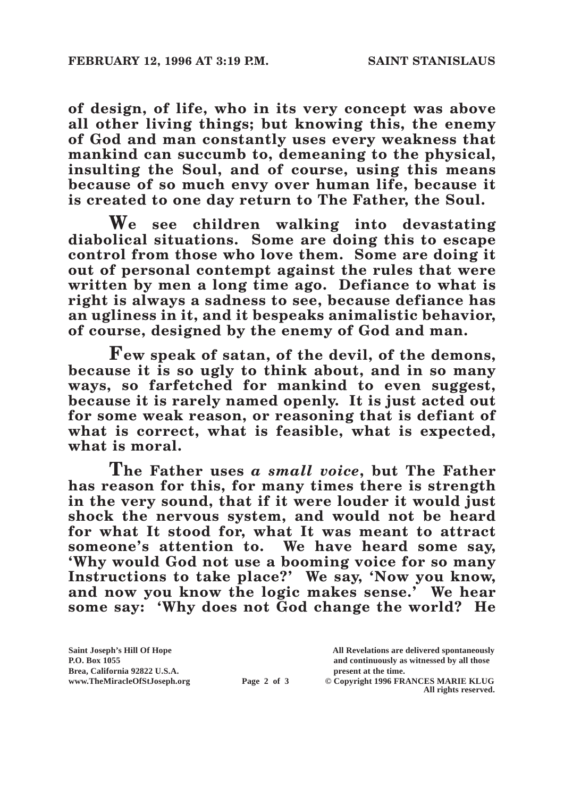**of design, of life, who in its very concept was above all other living things; but knowing this, the enemy of God and man constantly uses every weakness that mankind can succumb to, demeaning to the physical, insulting the Soul, and of course, using this means because of so much envy over human life, because it is created to one day return to The Father, the Soul.**

**We see children walking into devastating diabolical situations. Some are doing this to escape control from those who love them. Some are doing it out of personal contempt against the rules that were written by men a long time ago. Defiance to what is right is always a sadness to see, because defiance has an ugliness in it, and it bespeaks animalistic behavior, of course, designed by the enemy of God and man.**

**Few speak of satan, of the devil, of the demons, because it is so ugly to think about, and in so many ways, so farfetched for mankind to even suggest, because it is rarely named openly. It is just acted out for some weak reason, or reasoning that is defiant of what is correct, what is feasible, what is expected, what is moral.**

**The Father uses** *a small voice***, but The Father has reason for this, for many times there is strength in the very sound, that if it were louder it would just shock the nervous system, and would not be heard for what It stood for, what It was meant to attract someone's attention to. We have heard some say, 'Why would God not use a booming voice for so many Instructions to take place?' We say, 'Now you know, and now you know the logic makes sense.' We hear some say: 'Why does not God change the world? He** 

Brea, California 92822 U.S.A.<br>
www.TheMiracleOfStJoseph.org<br> **Page 2 of 3** © Copyright 1996 FR.

**Saint Joseph's Hill Of Hope All Revelations are delivered spontaneously P.O. Box 1055 and continuously as witnessed by all those** 

**Page 2 of 3** © Copyright 1996 FRANCES MARIE KLUG **All rights reserved.**